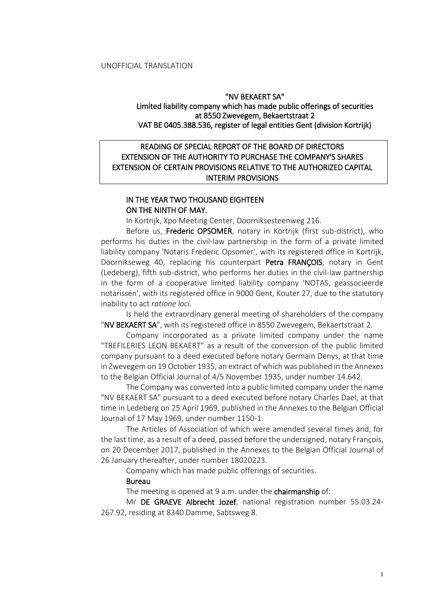#### "NV BEKAERT SA"

## Limited liability company which has made public offerings of securities at 8550 Zwevegem, Bekaertstraat 2 VAT BE 0405.388.536, register of legal entities Gent (division Kortrijk)

# READING OF SPECIAL REPORT OF THE BOARD OF DIRECTORS EXTENSION OF THE AUTHORITY TO PURCHASE THE COMPANY'S SHARES EXTENSION OF CERTAIN PROVISIONS RELATIVE TO THE AUTHORIZED CAPITAL INTERIM PROVISIONS

# IN THE YEAR TWO THOUSAND EIGHTEEN ON THE NINTH OF MAY.

In Kortrijk, Xpo Meeting Center, Doorniksesteenweg 216.

Before us, Frederic OPSOMER, notary in Kortrijk (first sub-district), who performs his duties in the civil-law partnership in the form of a private limited liability company 'Notaris Frederic Opsomer', with its registered office in Kortrijk, Doornikseweg 40, replacing his counterpart Petra FRANÇOIS, notary in Gent (Ledeberg), fifth sub-district, who performs her duties in the civil-law partnership in the form of a cooperative limited liability company 'NOTAS, geassocieerde notarissen', with its registered office in 9000 Gent, Kouter 27, due to the statutory inability to act *ratione loci*.

Is held the extraordinary general meeting of shareholders of the company "NV BEKAERT SA", with its registered office in 8550 Zwevegem, Bekaertstraat 2.

Company incorporated as a private limited company under the name "TREFILERIES LEON BEKAERT" as a result of the conversion of the public limited company pursuant to a deed executed before notary Germain Denys, at that time in Zwevegem on 19 October 1935, an extract of which was published in the Annexes to the Belgian Official Journal of 4/5 November 1935, under number 14.642.

The Company was converted into a public limited company under the name "NV BEKAERT SA" pursuant to a deed executed before notary Charles Dael, at that time in Ledeberg on 25 April 1969, published in the Annexes to the Belgian Official Journal of 17 May 1969, under number 1150-1.

The Articles of Association of which were amended several times and, for the last time, as a result of a deed, passed before the undersigned, notary François, on 20 December 2017, published in the Annexes to the Belgian Official Journal of 26 January thereafter, under number 18020223.

Company which has made public offerings of securities.

#### Bureau

The meeting is opened at 9 a.m. under the chairmanship of:

Mr DE GRAEVE Albrecht Jozef, national registration number 55.03.24- 267.92, residing at 8340 Damme, Sabtsweg 8.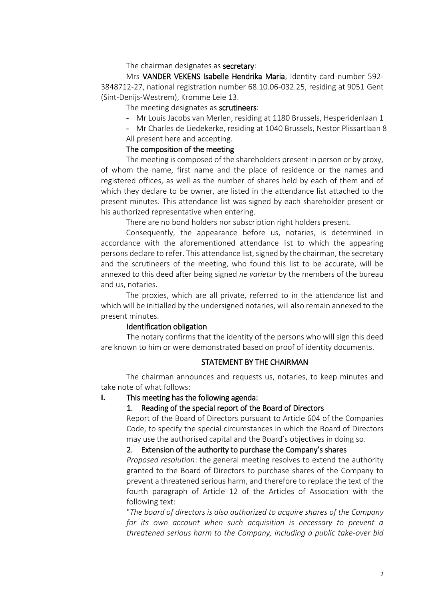### The chairman designates as secretary:

Mrs VANDER VEKENS Isabelle Hendrika Maria, Identity card number 592- 3848712-27, national registration number 68.10.06-032.25, residing at 9051 Gent (Sint-Denijs-Westrem), Kromme Leie 13.

#### The meeting designates as **scrutineers**:

- Mr Louis Jacobs van Merlen, residing at 1180 Brussels, Hesperidenlaan 1

- Mr Charles de Liedekerke, residing at 1040 Brussels, Nestor Plissartlaan 8 All present here and accepting.

## The composition of the meeting

The meeting is composed of the shareholders present in person or by proxy, of whom the name, first name and the place of residence or the names and registered offices, as well as the number of shares held by each of them and of which they declare to be owner, are listed in the attendance list attached to the present minutes. This attendance list was signed by each shareholder present or his authorized representative when entering.

There are no bond holders nor subscription right holders present.

Consequently, the appearance before us, notaries, is determined in accordance with the aforementioned attendance list to which the appearing persons declare to refer. This attendance list, signed by the chairman, the secretary and the scrutineers of the meeting, who found this list to be accurate, will be annexed to this deed after being signed *ne varietur* by the members of the bureau and us, notaries.

The proxies, which are all private, referred to in the attendance list and which will be initialled by the undersigned notaries, will also remain annexed to the present minutes.

## Identification obligation

The notary confirms that the identity of the persons who will sign this deed are known to him or were demonstrated based on proof of identity documents.

## STATEMENT BY THE CHAIRMAN

The chairman announces and requests us, notaries, to keep minutes and take note of what follows:

#### **I.** This meeting has the following agenda:

### 1. Reading of the special report of the Board of Directors

Report of the Board of Directors pursuant to Article 604 of the Companies Code, to specify the special circumstances in which the Board of Directors may use the authorised capital and the Board's objectives in doing so.

## 2. Extension of the authority to purchase the Company's shares

*Proposed resolution*: the general meeting resolves to extend the authority granted to the Board of Directors to purchase shares of the Company to prevent a threatened serious harm, and therefore to replace the text of the fourth paragraph of Article 12 of the Articles of Association with the following text:

"*The board of directors is also authorized to acquire shares of the Company for its own account when such acquisition is necessary to prevent a threatened serious harm to the Company, including a public take-over bid*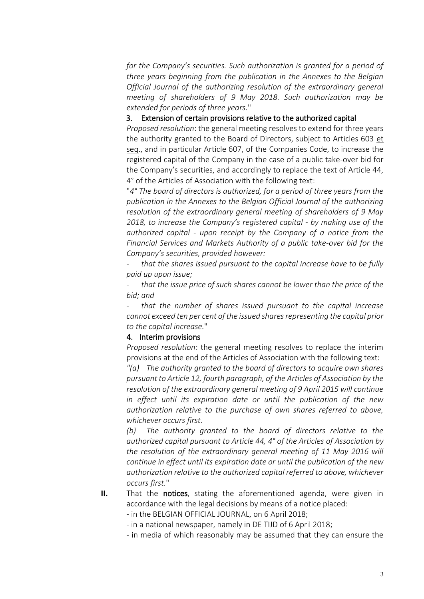*for the Company's securities. Such authorization is granted for a period of three years beginning from the publication in the Annexes to the Belgian Official Journal of the authorizing resolution of the extraordinary general meeting of shareholders of 9 May 2018. Such authorization may be extended for periods of three years.*"

## 3. Extension of certain provisions relative to the authorized capital

*Proposed resolution*: the general meeting resolves to extend for three years the authority granted to the Board of Directors, subject to Articles 603 et seq., and in particular Article 607, of the Companies Code, to increase the registered capital of the Company in the case of a public take-over bid for the Company's securities, and accordingly to replace the text of Article 44, 4° of the Articles of Association with the following text:

"*4° The board of directors is authorized, for a period of three years from the publication in the Annexes to the Belgian Official Journal of the authorizing resolution of the extraordinary general meeting of shareholders of 9 May 2018, to increase the Company's registered capital - by making use of the authorized capital - upon receipt by the Company of a notice from the Financial Services and Markets Authority of a public take-over bid for the Company's securities, provided however:*

*- that the shares issued pursuant to the capital increase have to be fully paid up upon issue;*

*- that the issue price of such shares cannot be lower than the price of the bid; and*

*- that the number of shares issued pursuant to the capital increase cannot exceed ten per cent of the issued shares representing the capital prior to the capital increase.*"

#### 4. Interim provisions

*Proposed resolution*: the general meeting resolves to replace the interim provisions at the end of the Articles of Association with the following text:

*"(a) The authority granted to the board of directors to acquire own shares pursuant to Article 12, fourth paragraph, of the Articles of Association by the resolution of the extraordinary general meeting of 9 April 2015 will continue in effect until its expiration date or until the publication of the new authorization relative to the purchase of own shares referred to above, whichever occurs first.*

*(b) The authority granted to the board of directors relative to the authorized capital pursuant to Article 44, 4° of the Articles of Association by the resolution of the extraordinary general meeting of 11 May 2016 will continue in effect until its expiration date or until the publication of the new authorization relative to the authorized capital referred to above, whichever occurs first.*"

- **II.** That the notices, stating the aforementioned agenda, were given in accordance with the legal decisions by means of a notice placed:
	- in the BELGIAN OFFICIAL JOURNAL, on 6 April 2018;

- in a national newspaper, namely in DE TIJD of 6 April 2018;

- in media of which reasonably may be assumed that they can ensure the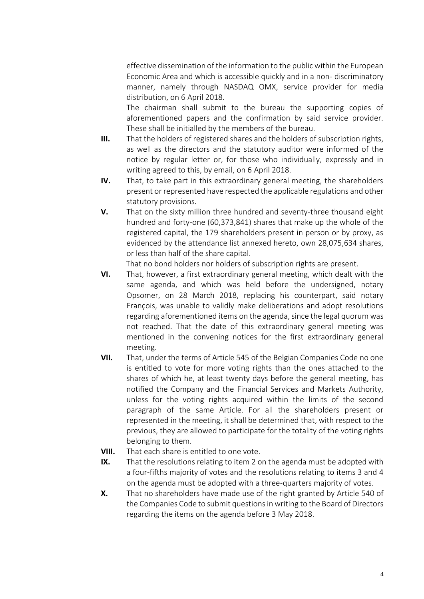effective dissemination of the information to the public within the European Economic Area and which is accessible quickly and in a non- discriminatory manner, namely through NASDAQ OMX, service provider for media distribution, on 6 April 2018.

The chairman shall submit to the bureau the supporting copies of aforementioned papers and the confirmation by said service provider. These shall be initialled by the members of the bureau.

- **III.** That the holders of registered shares and the holders of subscription rights, as well as the directors and the statutory auditor were informed of the notice by regular letter or, for those who individually, expressly and in writing agreed to this, by email, on 6 April 2018.
- **IV.** That, to take part in this extraordinary general meeting, the shareholders present or represented have respected the applicable regulations and other statutory provisions.
- **V.** That on the sixty million three hundred and seventy-three thousand eight hundred and forty-one (60,373,841) shares that make up the whole of the registered capital, the 179 shareholders present in person or by proxy, as evidenced by the attendance list annexed hereto, own 28,075,634 shares, or less than half of the share capital.

That no bond holders nor holders of subscription rights are present.

- **VI.** That, however, a first extraordinary general meeting, which dealt with the same agenda, and which was held before the undersigned, notary Opsomer, on 28 March 2018, replacing his counterpart, said notary François, was unable to validly make deliberations and adopt resolutions regarding aforementioned items on the agenda, since the legal quorum was not reached. That the date of this extraordinary general meeting was mentioned in the convening notices for the first extraordinary general meeting.
- **VII.** That, under the terms of Article 545 of the Belgian Companies Code no one is entitled to vote for more voting rights than the ones attached to the shares of which he, at least twenty days before the general meeting, has notified the Company and the Financial Services and Markets Authority, unless for the voting rights acquired within the limits of the second paragraph of the same Article. For all the shareholders present or represented in the meeting, it shall be determined that, with respect to the previous, they are allowed to participate for the totality of the voting rights belonging to them.
- **VIII.** That each share is entitled to one vote.
- **IX.** That the resolutions relating to item 2 on the agenda must be adopted with a four-fifths majority of votes and the resolutions relating to items 3 and 4 on the agenda must be adopted with a three-quarters majority of votes.
- **X.** That no shareholders have made use of the right granted by Article 540 of the Companies Code to submit questions in writing to the Board of Directors regarding the items on the agenda before 3 May 2018.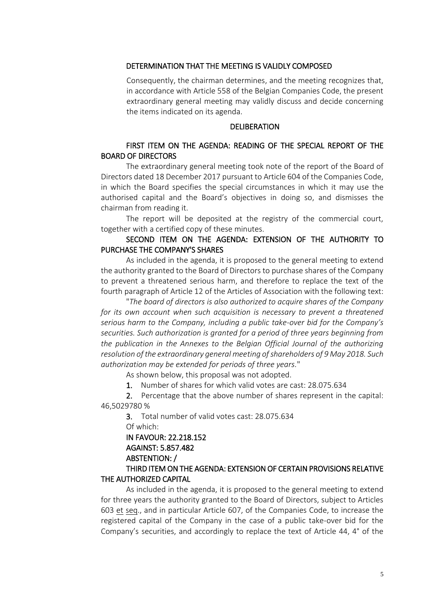### DETERMINATION THAT THE MEETING IS VALIDLY COMPOSED

Consequently, the chairman determines, and the meeting recognizes that, in accordance with Article 558 of the Belgian Companies Code, the present extraordinary general meeting may validly discuss and decide concerning the items indicated on its agenda.

#### DELIBERATION

## FIRST ITEM ON THE AGENDA: READING OF THE SPECIAL REPORT OF THE BOARD OF DIRECTORS

The extraordinary general meeting took note of the report of the Board of Directors dated 18 December 2017 pursuant to Article 604 of the Companies Code, in which the Board specifies the special circumstances in which it may use the authorised capital and the Board's objectives in doing so, and dismisses the chairman from reading it.

The report will be deposited at the registry of the commercial court, together with a certified copy of these minutes.

## SECOND ITEM ON THE AGENDA: EXTENSION OF THE AUTHORITY TO PURCHASE THE COMPANY'S SHARES

As included in the agenda, it is proposed to the general meeting to extend the authority granted to the Board of Directors to purchase shares of the Company to prevent a threatened serious harm, and therefore to replace the text of the fourth paragraph of Article 12 of the Articles of Association with the following text:

"*The board of directors is also authorized to acquire shares of the Company for its own account when such acquisition is necessary to prevent a threatened serious harm to the Company, including a public take-over bid for the Company's securities. Such authorization is granted for a period of three years beginning from the publication in the Annexes to the Belgian Official Journal of the authorizing resolution of the extraordinary general meeting of shareholders of 9 May 2018. Such authorization may be extended for periods of three years.*"

As shown below, this proposal was not adopted.

1. Number of shares for which valid votes are cast: 28.075.634

2. Percentage that the above number of shares represent in the capital: 46,5029780 %

3. Total number of valid votes cast: 28.075.634 Of which:

# IN FAVOUR: 22.218.152 AGAINST: 5.857.482 ABSTENTION: /

# THIRD ITEM ON THE AGENDA: EXTENSION OF CERTAIN PROVISIONS RELATIVE THE AUTHORIZED CAPITAL

As included in the agenda, it is proposed to the general meeting to extend for three years the authority granted to the Board of Directors, subject to Articles 603 et seq., and in particular Article 607, of the Companies Code, to increase the registered capital of the Company in the case of a public take-over bid for the Company's securities, and accordingly to replace the text of Article 44, 4° of the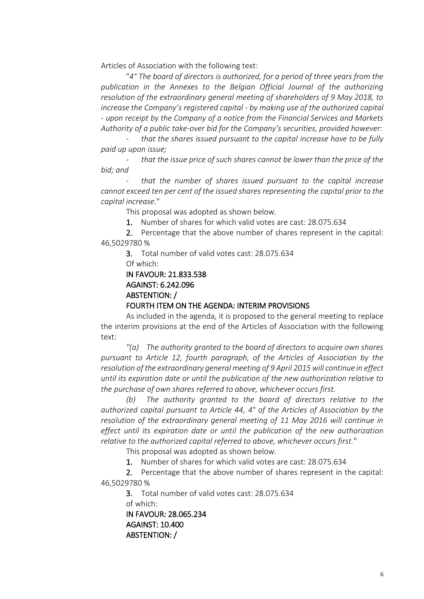Articles of Association with the following text:

"*4° The board of directors is authorized, for a period of three years from the publication in the Annexes to the Belgian Official Journal of the authorizing resolution of the extraordinary general meeting of shareholders of 9 May 2018, to increase the Company's registered capital - by making use of the authorized capital - upon receipt by the Company of a notice from the Financial Services and Markets Authority of a public take-over bid for the Company's securities, provided however:*

*- that the shares issued pursuant to the capital increase have to be fully paid up upon issue;*

*- that the issue price of such shares cannot be lower than the price of the bid; and*

*- that the number of shares issued pursuant to the capital increase cannot exceed ten per cent of the issued shares representing the capital prior to the capital increase.*"

This proposal was adopted as shown below.

1. Number of shares for which valid votes are cast: 28.075.634

2. Percentage that the above number of shares represent in the capital: 46,5029780 %

3. Total number of valid votes cast: 28.075.634

Of which:

## IN FAVOUR: 21.833.538 AGAINST: 6.242.096 ABSTENTION: / FOURTH ITEM ON THE AGENDA: INTERIM PROVISIONS

As included in the agenda, it is proposed to the general meeting to replace the interim provisions at the end of the Articles of Association with the following text:

*"(a) The authority granted to the board of directors to acquire own shares pursuant to Article 12, fourth paragraph, of the Articles of Association by the resolution of the extraordinary general meeting of 9 April 2015 will continue in effect until its expiration date or until the publication of the new authorization relative to the purchase of own shares referred to above, whichever occurs first.*

*(b) The authority granted to the board of directors relative to the authorized capital pursuant to Article 44, 4° of the Articles of Association by the resolution of the extraordinary general meeting of 11 May 2016 will continue in effect until its expiration date or until the publication of the new authorization relative to the authorized capital referred to above, whichever occurs first.*"

This proposal was adopted as shown below.

1. Number of shares for which valid votes are cast: 28.075.634

2. Percentage that the above number of shares represent in the capital: 46,5029780 %

3. Total number of valid votes cast: 28.075.634 of which: IN FAVOUR: 28.065.234

AGAINST: 10.400 ABSTENTION: /